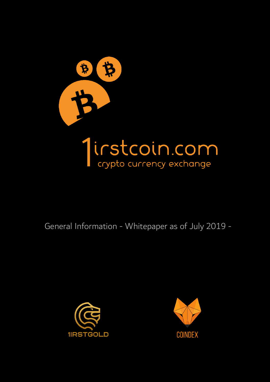

General Information - Whitepaper as of July 2019 -



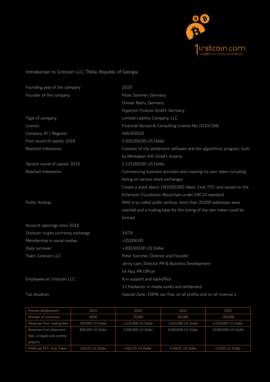

## Introduction to 1irstcoin LLC, Tbilisi, Republic of Georgia

| Founding year of the company        | 2018                                                                   |  |  |
|-------------------------------------|------------------------------------------------------------------------|--|--|
| Founder of the company              | Peter Sommer, Germany                                                  |  |  |
|                                     | Osman Bartu, Germany                                                   |  |  |
|                                     | Hyperion Finance GmbH, Germany                                         |  |  |
| Type of company                     | Limited Liability Company, LLC                                         |  |  |
| Licence                             | Financial Service & Consulting Licence No. 0110/268                    |  |  |
| Company ID / Register               | 404565029                                                              |  |  |
| First round of capital, 2018        | 1,500,000.00 US Dollar                                                 |  |  |
| Reached milestones                  | Creation of the settlement software and the algorithmic program, built |  |  |
|                                     | by Merkeleon A.R. GmbH, Austria                                        |  |  |
| Second round of capital, 2019       | 1,125,000.00 US Dollar                                                 |  |  |
| Reached milestones                  | Commencing business activities and creating his own token including    |  |  |
|                                     | listing on various stock exchanges                                     |  |  |
|                                     | Create a stock about 100,000,000 token, 1irst, FST, and issued on the  |  |  |
|                                     | Ethereum Foundation Blockchain under ERC20 standard                    |  |  |
| Public Airdrop                      | With a so-called public airdrop, more than 20,000 addresses were       |  |  |
|                                     | reached and a trading base for the listing of the own token could be   |  |  |
|                                     | formed                                                                 |  |  |
| Account openings since 2018         |                                                                        |  |  |
| 1irstcoin crypto currrency exchange | 3,678                                                                  |  |  |
| Membership in social medias         | >20,000.00                                                             |  |  |
| Daily turnover                      | >300,000.00 US Dollar                                                  |  |  |
| Team 1irstcoin LLC                  | Peter Sommer, Director and Founder                                     |  |  |
|                                     | Jenny Lam, Director PR & Business Development                          |  |  |
|                                     | Irk Naz, PR Officer                                                    |  |  |
| Employees at 1irstcoin LLC          | 8 in support and backoffice                                            |  |  |
|                                     | 12 freelancer in media works and settlement                            |  |  |
| Tax situation                       | Special-Zone, 100% tax-free, on all profits and on all revenue's       |  |  |

| Preview development         | 2019              | 2020                | 2021                | 2022                 |
|-----------------------------|-------------------|---------------------|---------------------|----------------------|
| Number of customers         | 8500              | 25,000              | 60,000              | 150,000              |
| Revenues from trading fees  | 450,000 US Dollar | 1,225,000 US Dollar | 2,425,000 US Dollar | 4,250,000 US Dollar  |
| Revenues from placement     | 800,000 US Dollar | 3,500,000 US Dollar | 8,000,000 US Dollar | 19,000,000 US Dollar |
| fees, 1irstgold and another |                   |                     |                     |                      |
| projects                    |                   |                     |                     |                      |
| Profit per FST, 1irst Token | 0.0125 US Dollar  | 0.04725 US Dollar   | 0.10425 US Dollar   | 0.2325 US Dollar     |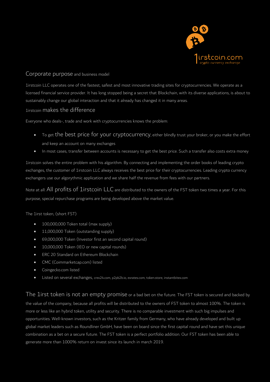

## Corporate purpose and business model

1irstcoin LLC operates one of the fastest, safest and most innovative trading sites for cryptocurrencies. We operate as a licensed financial service provider. It has long stopped being a secret that Blockchain, with its diverse applications, is about to sustainably change our global interaction and that it already has changed it in many areas.

## 1irstcoin makes the difference

Everyone who deals-, trade and work with cryptocurrencies knows the problem:

- To get the best price for your cryptocurrency, either blindly trust your broker, or you make the effort and keep an account on many exchanges
- In most cases, transfer between accounts is necessary to get the best price. Such a transfer also costs extra money

1irstcoin solves the entire problem with his algorithm. By connecting and implementing the order books of leading crypto exchanges, the customer of 1irstcoin LLC always receives the best price for their cryptocurrencies. Leading crypto currency exchangers use our algorythmic application and we share half the revenue from fees with our partners.

Note at all: All profits of 1irstcoin LLC are distributed to the owners of the FST token two times a year. For this purpose, special repurchase programs are being developed above the market value.

The 1irst token, (short FST)

- 100,000,000 Token total (max supply)
- 11,000,000 Token (outstanding supply)
- 69,000,000 Token (Investor first an second capital round)
- 10,000,000 Token (IEO or new capital rounds)
- ERC 20 Standard on Ethereum Blockchain
- CMC (Coimmarketcap.com) listed
- Coingecko.com listed
- Listed on several exchanges, crex24.com, p2pb2b.io, exrates.com, token.store, instantbitex.com

The 1irst token is not an empty promise or a bad bet on the future. The FST token is secured and backed by the value of the company, because all profits will be distributed to the owners of FST token to almost 100%. The token is more or less like an hybrid token, utility and security. There is no comparable investment with such big impulses and opportunities. Well-known investors, such as the Kritzer family from Germany, who have already developed and built up global market leaders such as Roundliner GmbH, have been on board since the first capital round and have set this unique combination as a bet on a secure future. The FST token is a perfect portfolio addition. Our FST token has been able to generate more than 1000% return on invest since its launch in march 2019.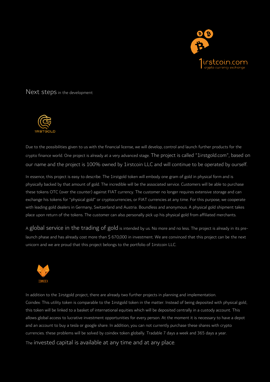

Next steps in the development



Due to the possibilities given to us with the financial license, we will develop, control and launch further products for the crypto finance world. One project is already at a very advanced stage. The project is called "1irstgold.com", based on our name and the project is 100% owned by 1irstcoin LLC and will continue to be operated by ourself.

In essence, this project is easy to describe. The 1irstgold token will embody one gram of gold in physical form and is physically backed by that amount of gold. The incredible will be the associated service. Customers will be able to purchase these tokens OTC (over the counter) against FIAT currency. The customer no longer requires extensive storage and can exchange his tokens for "physical gold" or cryptocurrencies, or FIAT currencies at any time. For this purpose, we cooperate with leading gold dealers in Germany, Switzerland and Austria. Boundless and anonymous. A physical gold shipment takes place upon return of the tokens. The customer can also personally pick up his physical gold from affiliated merchants.

A global service in the trading of gold is intended by us. No more and no less. The project is already in its prelaunch phase and has already cost more than \$ 670,000 in investment. We are convinced that this project can be the next unicorn and we are proud that this project belongs to the portfolio of 1irstcoin LLC.



In addition to the 1irstgold project, there are already two further projects in planning and implementation. Coindex: This utility token is comparable to the 1irstgold token in the matter. Instead of being deposited with physical gold, this token will be linked to a basket of international equities which will be deposited centrally in a custody account. This allows global access to lucrative investment opportunities for every person. At the moment it is necessary to have a depot and an account to buy a tesla or google share. In addition, you can not currently purchase these shares with crypto currencies. these problems will be solved by coindex token globally. Tradable 7 days a week and 365 days a year. The invested capital is available at any time and at any place.